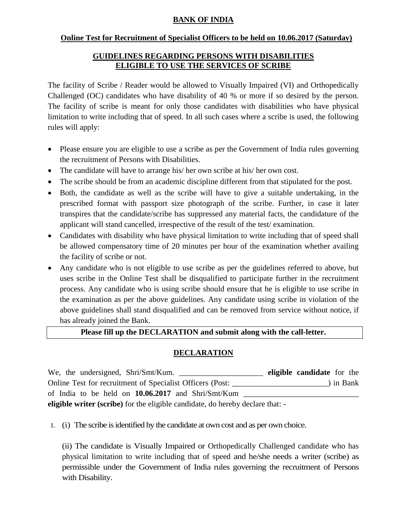# **BANK OF INDIA**

#### **Online Test for Recruitment of Specialist Officers to be held on 10.06.2017 (Saturday)**

## **GUIDELINES REGARDING PERSONS WITH DISABILITIES ELIGIBLE TO USE THE SERVICES OF SCRIBE**

The facility of Scribe / Reader would be allowed to Visually Impaired (VI) and Orthopedically Challenged (OC) candidates who have disability of 40 % or more if so desired by the person. The facility of scribe is meant for only those candidates with disabilities who have physical limitation to write including that of speed. In all such cases where a scribe is used, the following rules will apply:

- Please ensure you are eligible to use a scribe as per the Government of India rules governing the recruitment of Persons with Disabilities.
- The candidate will have to arrange his/ her own scribe at his/ her own cost.
- The scribe should be from an academic discipline different from that stipulated for the post.
- Both, the candidate as well as the scribe will have to give a suitable undertaking, in the prescribed format with passport size photograph of the scribe. Further, in case it later transpires that the candidate/scribe has suppressed any material facts, the candidature of the applicant will stand cancelled, irrespective of the result of the test/ examination.
- Candidates with disability who have physical limitation to write including that of speed shall be allowed compensatory time of 20 minutes per hour of the examination whether availing the facility of scribe or not.
- Any candidate who is not eligible to use scribe as per the guidelines referred to above, but uses scribe in the Online Test shall be disqualified to participate further in the recruitment process. Any candidate who is using scribe should ensure that he is eligible to use scribe in the examination as per the above guidelines. Any candidate using scribe in violation of the above guidelines shall stand disqualified and can be removed from service without notice, if has already joined the Bank.

### **Please fill up the DECLARATION and submit along with the call-letter.**

### **DECLARATION**

We, the undersigned, Shri/Smt/Kum. \_\_\_\_\_\_\_\_\_\_\_\_\_\_\_\_\_\_\_\_\_ **eligible candidate** for the Online Test for recruitment of Specialist Officers (Post: \_\_\_\_\_\_\_\_\_\_\_\_\_\_\_\_\_\_\_\_\_\_\_\_) in Bank of India to be held on 10.06.2017 and Shri/Smt/Kum \_ **eligible writer (scribe)** for the eligible candidate, do hereby declare that: -

1. (i) The scribe is identified by the candidate at own cost and as per own choice.

(ii) The candidate is Visually Impaired or Orthopedically Challenged candidate who has physical limitation to write including that of speed and he/she needs a writer (scribe) as permissible under the Government of India rules governing the recruitment of Persons with Disability.